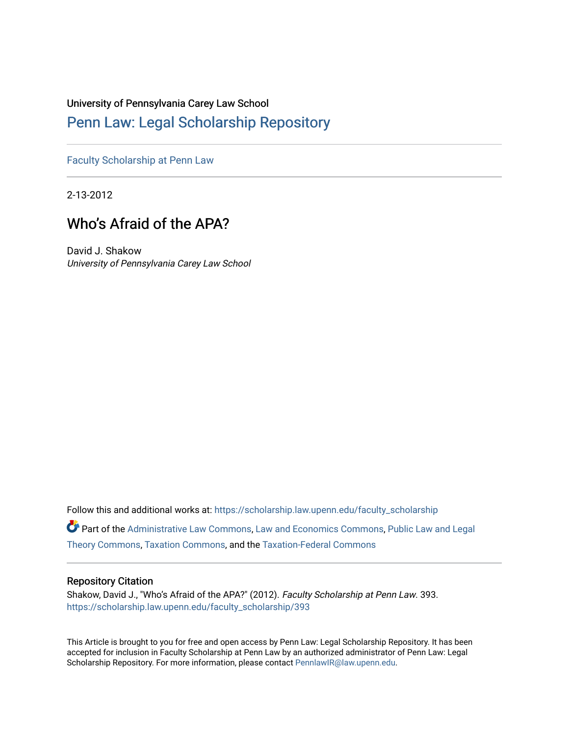# University of Pennsylvania Carey Law School

# [Penn Law: Legal Scholarship Repository](https://scholarship.law.upenn.edu/)

[Faculty Scholarship at Penn Law](https://scholarship.law.upenn.edu/faculty_scholarship)

2-13-2012

# Who's Afraid of the APA?

David J. Shakow University of Pennsylvania Carey Law School

Follow this and additional works at: [https://scholarship.law.upenn.edu/faculty\\_scholarship](https://scholarship.law.upenn.edu/faculty_scholarship?utm_source=scholarship.law.upenn.edu%2Ffaculty_scholarship%2F393&utm_medium=PDF&utm_campaign=PDFCoverPages) 

Part of the [Administrative Law Commons,](http://network.bepress.com/hgg/discipline/579?utm_source=scholarship.law.upenn.edu%2Ffaculty_scholarship%2F393&utm_medium=PDF&utm_campaign=PDFCoverPages) [Law and Economics Commons](http://network.bepress.com/hgg/discipline/612?utm_source=scholarship.law.upenn.edu%2Ffaculty_scholarship%2F393&utm_medium=PDF&utm_campaign=PDFCoverPages), [Public Law and Legal](http://network.bepress.com/hgg/discipline/871?utm_source=scholarship.law.upenn.edu%2Ffaculty_scholarship%2F393&utm_medium=PDF&utm_campaign=PDFCoverPages) [Theory Commons](http://network.bepress.com/hgg/discipline/871?utm_source=scholarship.law.upenn.edu%2Ffaculty_scholarship%2F393&utm_medium=PDF&utm_campaign=PDFCoverPages), [Taxation Commons](http://network.bepress.com/hgg/discipline/643?utm_source=scholarship.law.upenn.edu%2Ffaculty_scholarship%2F393&utm_medium=PDF&utm_campaign=PDFCoverPages), and the [Taxation-Federal Commons](http://network.bepress.com/hgg/discipline/881?utm_source=scholarship.law.upenn.edu%2Ffaculty_scholarship%2F393&utm_medium=PDF&utm_campaign=PDFCoverPages) 

## Repository Citation

Shakow, David J., "Who's Afraid of the APA?" (2012). Faculty Scholarship at Penn Law. 393. [https://scholarship.law.upenn.edu/faculty\\_scholarship/393](https://scholarship.law.upenn.edu/faculty_scholarship/393?utm_source=scholarship.law.upenn.edu%2Ffaculty_scholarship%2F393&utm_medium=PDF&utm_campaign=PDFCoverPages) 

This Article is brought to you for free and open access by Penn Law: Legal Scholarship Repository. It has been accepted for inclusion in Faculty Scholarship at Penn Law by an authorized administrator of Penn Law: Legal Scholarship Repository. For more information, please contact [PennlawIR@law.upenn.edu.](mailto:PennlawIR@law.upenn.edu)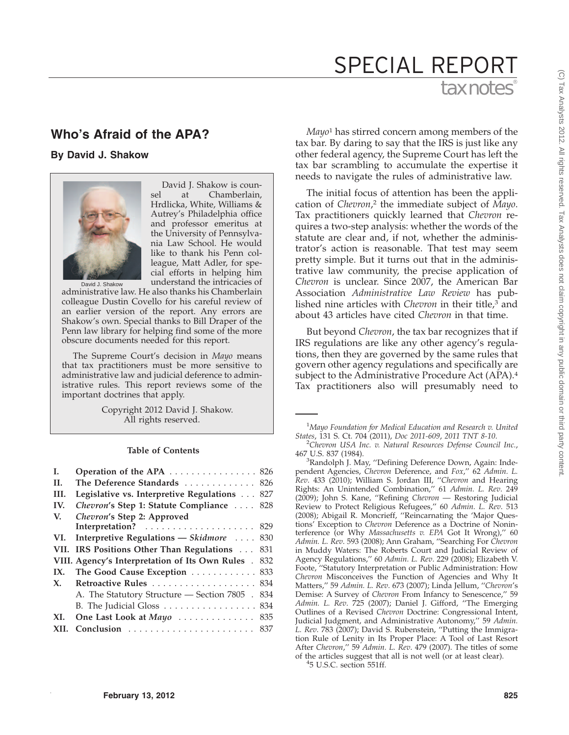# tax notes<sup>®</sup> SPECIAL REPORT

# **Who's Afraid of the APA?**

**By David J. Shakow**



David J. Shakow is counsel at Chamberlain, Hrdlicka, White, Williams & Autrey's Philadelphia office and professor emeritus at the University of Pennsylvania Law School. He would like to thank his Penn colleague, Matt Adler, for special efforts in helping him understand the intricacies of

David J. Shakow

administrative law. He also thanks his Chamberlain colleague Dustin Covello for his careful review of an earlier version of the report. Any errors are Shakow's own. Special thanks to Bill Draper of the Penn law library for helping find some of the more obscure documents needed for this report.

The Supreme Court's decision in *Mayo* means that tax practitioners must be more sensitive to administrative law and judicial deference to administrative rules. This report reviews some of the important doctrines that apply.

> Copyright 2012 David J. Shakow. All rights reserved.

### **Table of Contents**

| L.   | Operation of the APA 826                             |     |
|------|------------------------------------------------------|-----|
| II.  | The Deference Standards 826                          |     |
| III. | Legislative vs. Interpretive Regulations 827         |     |
| IV.  | Chevron's Step 1: Statute Compliance  828            |     |
| V.   | Chevron's Step 2: Approved                           |     |
|      |                                                      |     |
| VI.  | Interpretive Regulations - Skidmore  830             |     |
|      | VII. IRS Positions Other Than Regulations            | 831 |
|      | VIII. Agency's Interpretation of Its Own Rules . 832 |     |
| IX.  | The Good Cause Exception  833                        |     |
| X.   | Retroactive Rules  834                               |     |
|      | A. The Statutory Structure — Section 7805 . 834      |     |
|      | B. The Judicial Gloss  834                           |     |
| XI.  | One Last Look at Mayo  835                           |     |
| XII. |                                                      |     |

*Mayo*<sup>1</sup> has stirred concern among members of the tax bar. By daring to say that the IRS is just like any other federal agency, the Supreme Court has left the tax bar scrambling to accumulate the expertise it needs to navigate the rules of administrative law.

The initial focus of attention has been the application of *Chevron*, <sup>2</sup> the immediate subject of *Mayo*. Tax practitioners quickly learned that *Chevron* requires a two-step analysis: whether the words of the statute are clear and, if not, whether the administrator's action is reasonable. That test may seem pretty simple. But it turns out that in the administrative law community, the precise application of *Chevron* is unclear. Since 2007, the American Bar Association *Administrative Law Review* has published nine articles with *Chevron* in their title,<sup>3</sup> and about 43 articles have cited *Chevron* in that time.

But beyond *Chevron*, the tax bar recognizes that if IRS regulations are like any other agency's regulations, then they are governed by the same rules that govern other agency regulations and specifically are subject to the Administrative Procedure Act (APA).4 Tax practitioners also will presumably need to

<sup>3</sup>Randolph J. May, "Defining Deference Down, Again: Independent Agencies, *Chevron* Deference, and *Fox*,'' 62 *Admin. L. Rev*. 433 (2010); William S. Jordan III, ''*Chevron* and Hearing Rights: An Unintended Combination,'' 61 *Admin. L. Rev*. 249 (2009); John S. Kane, ''Refining *Chevron* — Restoring Judicial Review to Protect Religious Refugees,'' 60 *Admin. L. Rev*. 513 (2008); Abigail R. Moncrieff, ''Reincarnating the 'Major Questions' Exception to *Chevron* Deference as a Doctrine of Noninterference (or Why *Massachusetts v. EPA* Got It Wrong),'' 60 *Admin. L. Rev*. 593 (2008); Ann Graham, ''Searching For *Chevron* in Muddy Waters: The Roberts Court and Judicial Review of Agency Regulations,'' 60 *Admin. L. Rev*. 229 (2008); Elizabeth V. Foote, ''Statutory Interpretation or Public Administration: How *Chevron* Misconceives the Function of Agencies and Why It Matters,'' 59 *Admin. L. Rev*. 673 (2007); Linda Jellum, ''*Chevron*'s Demise: A Survey of *Chevron* From Infancy to Senescence,'' 59 *Admin. L. Rev*. 725 (2007); Daniel J. Gifford, ''The Emerging Outlines of a Revised *Chevron* Doctrine: Congressional Intent, Judicial Judgment, and Administrative Autonomy,'' 59 *Admin. L. Rev*. 783 (2007); David S. Rubenstein, ''Putting the Immigration Rule of Lenity in Its Proper Place: A Tool of Last Resort After *Chevron*,'' 59 *Admin. L. Rev*. 479 (2007). The titles of some of the articles suggest that all is not well (or at least clear). <sup>4</sup>

<sup>4</sup>5 U.S.C. section 551ff.

<sup>1</sup> *Mayo Foundation for Medical Education and Research v. United*

*States*, 131 S. Ct. 704 (2011), *Doc 2011-609*, 2011 TNT 8-10.<br><sup>2</sup>Chevron USA Inc. v. Natural Resources Defense Council Inc., 467 U.S. 837 (1984). <sup>3</sup>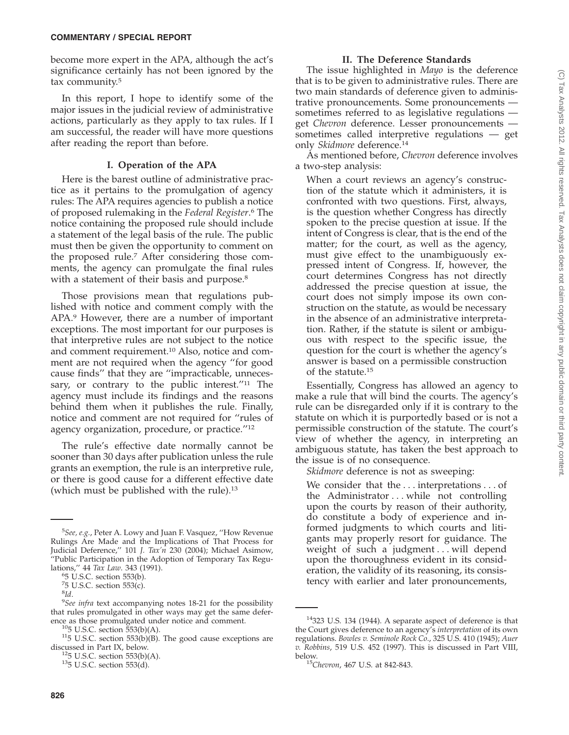become more expert in the APA, although the act's significance certainly has not been ignored by the tax community.5

In this report, I hope to identify some of the major issues in the judicial review of administrative actions, particularly as they apply to tax rules. If I am successful, the reader will have more questions after reading the report than before.

### **I. Operation of the APA**

Here is the barest outline of administrative practice as it pertains to the promulgation of agency rules: The APA requires agencies to publish a notice of proposed rulemaking in the *Federal Register*. <sup>6</sup> The notice containing the proposed rule should include a statement of the legal basis of the rule. The public must then be given the opportunity to comment on the proposed rule.7 After considering those comments, the agency can promulgate the final rules with a statement of their basis and purpose.<sup>8</sup>

Those provisions mean that regulations published with notice and comment comply with the APA.9 However, there are a number of important exceptions. The most important for our purposes is that interpretive rules are not subject to the notice and comment requirement.10 Also, notice and comment are not required when the agency ''for good cause finds'' that they are ''impracticable, unnecessary, or contrary to the public interest."<sup>11</sup> The agency must include its findings and the reasons behind them when it publishes the rule. Finally, notice and comment are not required for ''rules of agency organization, procedure, or practice.''12

The rule's effective date normally cannot be sooner than 30 days after publication unless the rule grants an exemption, the rule is an interpretive rule, or there is good cause for a different effective date (which must be published with the rule).<sup>13</sup>

#### **II. The Deference Standards**

The issue highlighted in *Mayo* is the deference that is to be given to administrative rules. There are two main standards of deference given to administrative pronouncements. Some pronouncements sometimes referred to as legislative regulations get *Chevron* deference. Lesser pronouncements sometimes called interpretive regulations — get only *Skidmore* deference.14

As mentioned before, *Chevron* deference involves a two-step analysis:

When a court reviews an agency's construction of the statute which it administers, it is confronted with two questions. First, always, is the question whether Congress has directly spoken to the precise question at issue. If the intent of Congress is clear, that is the end of the matter; for the court, as well as the agency, must give effect to the unambiguously expressed intent of Congress. If, however, the court determines Congress has not directly addressed the precise question at issue, the court does not simply impose its own construction on the statute, as would be necessary in the absence of an administrative interpretation. Rather, if the statute is silent or ambiguous with respect to the specific issue, the question for the court is whether the agency's answer is based on a permissible construction of the statute.15

Essentially, Congress has allowed an agency to make a rule that will bind the courts. The agency's rule can be disregarded only if it is contrary to the statute on which it is purportedly based or is not a permissible construction of the statute. The court's view of whether the agency, in interpreting an ambiguous statute, has taken the best approach to the issue is of no consequence.

*Skidmore* deference is not as sweeping:

We consider that the... interpretations . . . of the Administrator... while not controlling upon the courts by reason of their authority, do constitute a body of experience and informed judgments to which courts and litigants may properly resort for guidance. The weight of such a judgment... will depend upon the thoroughness evident in its consideration, the validity of its reasoning, its consistency with earlier and later pronouncements,

<sup>5</sup> *See, e.g.*, Peter A. Lowy and Juan F. Vasquez, ''How Revenue Rulings Are Made and the Implications of That Process for Judicial Deference,'' 101 *J. Tax'n* 230 (2004); Michael Asimow, ''Public Participation in the Adoption of Temporary Tax Regulations,'' 44 *Tax Law*. 343 (1991). <sup>6</sup>

<sup>5</sup> U.S.C. section 553(b).

 $75$  U.S.C. section 553(c).

<sup>8</sup> *Id*. 9

*See infra* text accompanying notes 18-21 for the possibility that rules promulgated in other ways may get the same defer-

ence as those promulgated under notice and comment.<br><sup>10</sup>5 U.S.C. section 553(b)(A).<br><sup>11</sup>5 U.S.C. section 553(b)(B). The good cause exceptions are discussed in Part IX, below.

<sup>&</sup>lt;sup>12</sup>5 U.S.C. section 553(b)(A). <sup>13</sup>5 U.S.C. section 553(d).

<sup>&</sup>lt;sup>14</sup>323 U.S. 134 (1944). A separate aspect of deference is that the Court gives deference to an agency's *interpretation* of its own regulations. *Bowles v. Seminole Rock Co*., 325 U.S. 410 (1945); *Auer v. Robbins*, 519 U.S. 452 (1997). This is discussed in Part VIII, below. <sup>15</sup>*Chevron*, 467 U.S. at 842-843.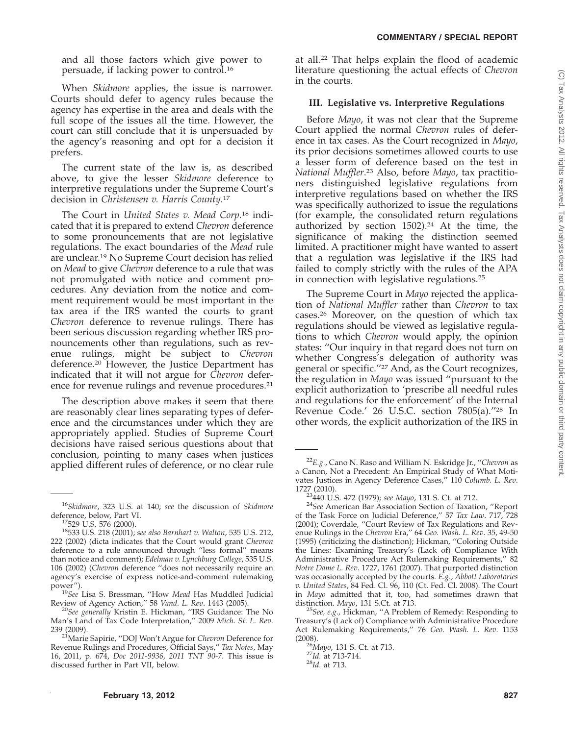and all those factors which give power to persuade, if lacking power to control.16

When *Skidmore* applies, the issue is narrower. Courts should defer to agency rules because the agency has expertise in the area and deals with the full scope of the issues all the time. However, the court can still conclude that it is unpersuaded by the agency's reasoning and opt for a decision it prefers.

The current state of the law is, as described above, to give the lesser *Skidmore* deference to interpretive regulations under the Supreme Court's decision in *Christensen v. Harris County*. 17

The Court in *United States v. Mead Corp.*<sup>18</sup> indicated that it is prepared to extend *Chevron* deference to some pronouncements that are not legislative regulations. The exact boundaries of the *Mead* rule are unclear.19 No Supreme Court decision has relied on *Mead* to give *Chevron* deference to a rule that was not promulgated with notice and comment procedures. Any deviation from the notice and comment requirement would be most important in the tax area if the IRS wanted the courts to grant *Chevron* deference to revenue rulings. There has been serious discussion regarding whether IRS pronouncements other than regulations, such as revenue rulings, might be subject to *Chevron* deference.20 However, the Justice Department has indicated that it will not argue for *Chevron* deference for revenue rulings and revenue procedures.<sup>21</sup>

The description above makes it seem that there are reasonably clear lines separating types of deference and the circumstances under which they are appropriately applied. Studies of Supreme Court decisions have raised serious questions about that conclusion, pointing to many cases when justices applied different rules of deference, or no clear rule at all.22 That helps explain the flood of academic literature questioning the actual effects of *Chevron* in the courts.

#### **III. Legislative vs. Interpretive Regulations**

Before *Mayo*, it was not clear that the Supreme Court applied the normal *Chevron* rules of deference in tax cases. As the Court recognized in *Mayo*, its prior decisions sometimes allowed courts to use a lesser form of deference based on the test in *National Muffler*. <sup>23</sup> Also, before *Mayo*, tax practitioners distinguished legislative regulations from interpretive regulations based on whether the IRS was specifically authorized to issue the regulations (for example, the consolidated return regulations authorized by section  $1502$ ).<sup>24</sup> At the time, the significance of making the distinction seemed limited. A practitioner might have wanted to assert that a regulation was legislative if the IRS had failed to comply strictly with the rules of the APA in connection with legislative regulations.25

The Supreme Court in *Mayo* rejected the application of *National Muffler* rather than *Chevron* to tax cases.26 Moreover, on the question of which tax regulations should be viewed as legislative regulations to which *Chevron* would apply, the opinion states: ''Our inquiry in that regard does not turn on whether Congress's delegation of authority was general or specific.''27 And, as the Court recognizes, the regulation in *Mayo* was issued ''pursuant to the explicit authorization to 'prescribe all needful rules and regulations for the enforcement' of the Internal Revenue Code.' 26 U.S.C. section 7805(a).''28 In other words, the explicit authorization of the IRS in

<sup>16</sup>*Skidmore*, 323 U.S. at 140; *see* the discussion of *Skidmore*

<sup>&</sup>lt;sup>18</sup>533 U.S. 218 (2001); see also Barnhart v. Walton, 535 U.S. 212, 222 (2002) (dicta indicates that the Court would grant *Chevron* deference to a rule announced through ''less formal'' means than notice and comment); *Edelman v. Lynchburg College*, 535 U.S. 106 (2002) (*Chevron* deference ''does not necessarily require an agency's exercise of express notice-and-comment rulemaking

<sup>&</sup>lt;sup>19</sup>See</sub> Lisa S. Bressman, "How *Mead* Has Muddled Judicial Review of Agency Action,'' 58 *Vand. L. Rev*. 1443 (2005). <sup>20</sup>*See generally* Kristin E. Hickman, ''IRS Guidance: The No

Man's Land of Tax Code Interpretation,'' 2009 *Mich. St. L. Rev*.

<sup>&</sup>lt;sup>21</sup>Marie Sapirie, "DOJ Won't Argue for *Chevron* Deference for Revenue Rulings and Procedures, Official Says,'' *Tax Notes*, May 16, 2011, p. 674, *Doc 2011-9936*, *2011 TNT 90-7*. This issue is discussed further in Part VII, below.

<sup>22</sup>*E.g.*, Cano N. Raso and William N. Eskridge Jr., ''*Chevron* as a Canon, Not a Precedent: An Empirical Study of What Motivates Justices in Agency Deference Cases,'' 110 *Columb. L. Rev*. 1727 (2010). 23440 U.S. 472 (1979); *see Mayo*, 131 S. Ct. at 712. <sup>24</sup>*See* American Bar Association Section of Taxation, ''Report

of the Task Force on Judicial Deference,'' 57 *Tax Law*. 717, 728 (2004); Coverdale, ''Court Review of Tax Regulations and Revenue Rulings in the *Chevron* Era,'' 64 *Geo. Wash. L. Rev*. 35, 49-50 (1995) (criticizing the distinction); Hickman, ''Coloring Outside the Lines: Examining Treasury's (Lack of) Compliance With Administrative Procedure Act Rulemaking Requirements,'' 82 *Notre Dame L. Rev*. 1727, 1761 (2007). That purported distinction was occasionally accepted by the courts. *E.g.*, *Abbott Laboratories v. United States*, 84 Fed. Cl. 96, 110 (Ct. Fed. Cl. 2008). The Court in *Mayo* admitted that it, too, had sometimes drawn that

<sup>&</sup>lt;sup>25</sup>See, e.g., Hickman, "A Problem of Remedy: Responding to Treasury's (Lack of) Compliance with Administrative Procedure Act Rulemaking Requirements,'' 76 *Geo. Wash. L. Rev*. 1153 (2008). <sup>26</sup>*Mayo*, 131 S. Ct. at 713. <sup>27</sup>*Id.* at 713-714. <sup>28</sup>*Id.* at 713.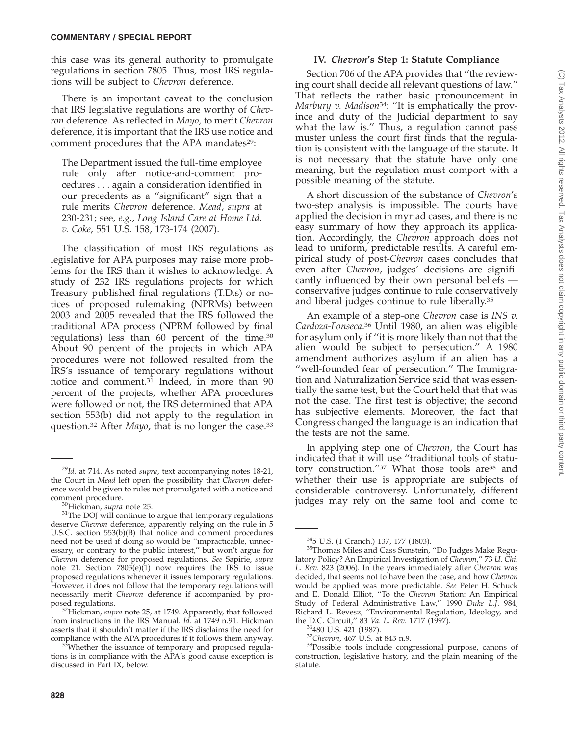this case was its general authority to promulgate regulations in section 7805. Thus, most IRS regulations will be subject to *Chevron* deference.

There is an important caveat to the conclusion that IRS legislative regulations are worthy of *Chevron* deference. As reflected in *Mayo*, to merit *Chevron* deference, it is important that the IRS use notice and comment procedures that the APA mandates<sup>29</sup>:

The Department issued the full-time employee rule only after notice-and-comment procedures... again a consideration identified in our precedents as a ''significant'' sign that a rule merits *Chevron* deference. *Mead*, *supra* at 230-231; see, *e.g.*, *Long Island Care at Home Ltd. v. Coke*, 551 U.S. 158, 173-174 (2007).

The classification of most IRS regulations as legislative for APA purposes may raise more problems for the IRS than it wishes to acknowledge. A study of 232 IRS regulations projects for which Treasury published final regulations (T.D.s) or notices of proposed rulemaking (NPRMs) between 2003 and 2005 revealed that the IRS followed the traditional APA process (NPRM followed by final regulations) less than 60 percent of the time.30 About 90 percent of the projects in which APA procedures were not followed resulted from the IRS's issuance of temporary regulations without notice and comment.31 Indeed, in more than 90 percent of the projects, whether APA procedures were followed or not, the IRS determined that APA section 553(b) did not apply to the regulation in question.32 After *Mayo*, that is no longer the case.33

#### **IV.** *Chevron***'s Step 1: Statute Compliance**

Section 706 of the APA provides that ''the reviewing court shall decide all relevant questions of law.'' That reflects the rather basic pronouncement in *Marbury v. Madison*34: ''It is emphatically the province and duty of the Judicial department to say what the law is.'' Thus, a regulation cannot pass muster unless the court first finds that the regulation is consistent with the language of the statute. It is not necessary that the statute have only one meaning, but the regulation must comport with a possible meaning of the statute.

A short discussion of the substance of *Chevron*'s two-step analysis is impossible. The courts have applied the decision in myriad cases, and there is no easy summary of how they approach its application. Accordingly, the *Chevron* approach does not lead to uniform, predictable results. A careful empirical study of post-*Chevron* cases concludes that even after *Chevron*, judges' decisions are significantly influenced by their own personal beliefs conservative judges continue to rule conservatively and liberal judges continue to rule liberally.35

An example of a step-one *Chevron* case is *INS v. Cardoza-Fonseca*. <sup>36</sup> Until 1980, an alien was eligible for asylum only if ''it is more likely than not that the alien would be subject to persecution.'' A 1980 amendment authorizes asylum if an alien has a ''well-founded fear of persecution.'' The Immigration and Naturalization Service said that was essentially the same test, but the Court held that that was not the case. The first test is objective; the second has subjective elements. Moreover, the fact that Congress changed the language is an indication that the tests are not the same.

In applying step one of *Chevron*, the Court has indicated that it will use ''traditional tools of statutory construction."37 What those tools are<sup>38</sup> and whether their use is appropriate are subjects of considerable controversy. Unfortunately, different judges may rely on the same tool and come to

<sup>29</sup>*Id.* at 714. As noted *supra*, text accompanying notes 18-21, the Court in *Mead* left open the possibility that *Chevron* deference would be given to rules not promulgated with a notice and

<sup>&</sup>lt;sup>30</sup>Hickman, *supra* note 25.<br><sup>31</sup>The DOJ will continue to argue that temporary regulations deserve *Chevron* deference, apparently relying on the rule in 5 U.S.C. section 553(b)(B) that notice and comment procedures need not be used if doing so would be ''impracticable, unnecessary, or contrary to the public interest," but won't argue for *Chevron* deference for proposed regulations. *See* Sapirie, *supra* note 21. Section  $7805(e)(1)$  now requires the IRS to issue proposed regulations whenever it issues temporary regulations. However, it does not follow that the temporary regulations will necessarily merit *Chevron* deference if accompanied by pro-

<sup>&</sup>lt;sup>32</sup>Hickman, *supra* note 25, at 1749. Apparently, that followed from instructions in the IRS Manual. *Id*. at 1749 n.91. Hickman asserts that it shouldn't matter if the IRS disclaims the need for

compliance with the APA procedures if it follows them anyway.<br><sup>33</sup>Whether the issuance of temporary and proposed regulations is in compliance with the APA's good cause exception is discussed in Part IX, below.

 $345$  U.S. (1 Cranch.) 137, 177 (1803).<br> $35$ Thomas Miles and Cass Sunstein, "Do Judges Make Regulatory Policy? An Empirical Investigation of *Chevron*,'' 73 *U. Chi. L. Rev*. 823 (2006). In the years immediately after *Chevron* was decided, that seems not to have been the case, and how *Chevron* would be applied was more predictable. *See* Peter H. Schuck and E. Donald Elliot, ''To the *Chevron* Station: An Empirical Study of Federal Administrative Law,'' 1990 *Duke L.J*. 984; Richard L. Revesz, "Environmental Regulation, Ideology, and the D.C. Circuit," 83 Va. L. Rev. 1717 (1997).

<sup>&</sup>lt;sup>36</sup>480 U.S. 421 (1987).<br><sup>37</sup>*Chevron*, 467 U.S. at 843 n.9. <sup>38</sup>Possible tools include congressional purpose, canons of construction, legislative history, and the plain meaning of the statute.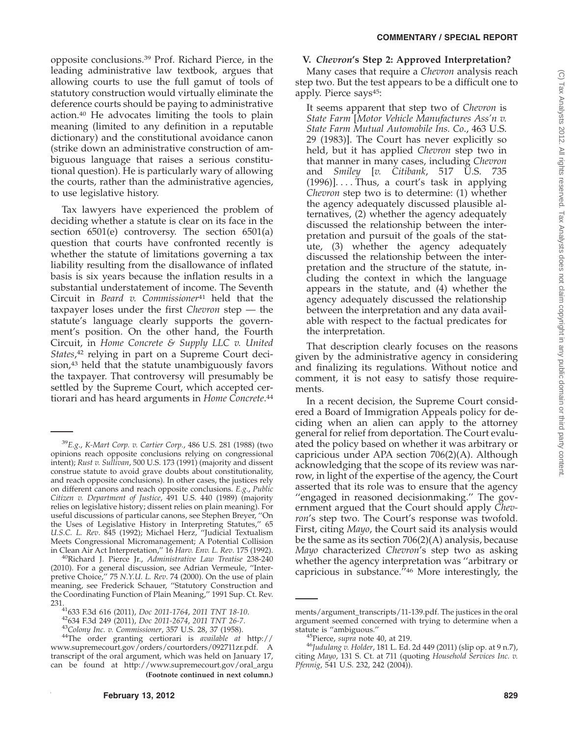opposite conclusions.39 Prof. Richard Pierce, in the leading administrative law textbook, argues that allowing courts to use the full gamut of tools of statutory construction would virtually eliminate the deference courts should be paying to administrative action.40 He advocates limiting the tools to plain meaning (limited to any definition in a reputable dictionary) and the constitutional avoidance canon (strike down an administrative construction of ambiguous language that raises a serious constitutional question). He is particularly wary of allowing the courts, rather than the administrative agencies, to use legislative history.

Tax lawyers have experienced the problem of deciding whether a statute is clear on its face in the section 6501(e) controversy. The section 6501(a) question that courts have confronted recently is whether the statute of limitations governing a tax liability resulting from the disallowance of inflated basis is six years because the inflation results in a substantial understatement of income. The Seventh Circuit in *Beard v. Commissioner*<sup>41</sup> held that the taxpayer loses under the first *Chevron* step — the statute's language clearly supports the government's position. On the other hand, the Fourth Circuit, in *Home Concrete & Supply LLC v. United States*, <sup>42</sup> relying in part on a Supreme Court decision,<sup>43</sup> held that the statute unambiguously favors the taxpayer. That controversy will presumably be settled by the Supreme Court, which accepted certiorari and has heard arguments in *Home Concrete*. 44

<sup>40</sup>Richard J. Pierce Jr., *Administrative Law Treatise* 238-240 (2010). For a general discussion, see Adrian Vermeule, ''Interpretive Choice,'' 75 *N.Y.U. L. Rev*. 74 (2000). On the use of plain meaning, see Frederick Schauer, ''Statutory Construction and the Coordinating Function of Plain Meaning,'' 1991 Sup. Ct. Rev.

# **V.** *Chevron***'s Step 2: Approved Interpretation?**

Many cases that require a *Chevron* analysis reach step two. But the test appears to be a difficult one to apply. Pierce says45:

It seems apparent that step two of *Chevron* is *State Farm* [*Motor Vehicle Manufactures Ass'n v. State Farm Mutual Automobile Ins. Co*., 463 U.S. 29 (1983)]. The Court has never explicitly so held, but it has applied *Chevron* step two in that manner in many cases, including *Chevron* and *Smiley* [*v. Citibank*, 517 U.S. 735 (1996)].... Thus, a court's task in applying *Chevron* step two is to determine: (1) whether the agency adequately discussed plausible alternatives, (2) whether the agency adequately discussed the relationship between the interpretation and pursuit of the goals of the statute, (3) whether the agency adequately discussed the relationship between the interpretation and the structure of the statute, including the context in which the language appears in the statute, and (4) whether the agency adequately discussed the relationship between the interpretation and any data available with respect to the factual predicates for the interpretation.

That description clearly focuses on the reasons given by the administrative agency in considering and finalizing its regulations. Without notice and comment, it is not easy to satisfy those requirements.

In a recent decision, the Supreme Court considered a Board of Immigration Appeals policy for deciding when an alien can apply to the attorney general for relief from deportation. The Court evaluated the policy based on whether it was arbitrary or capricious under APA section 706(2)(A). Although acknowledging that the scope of its review was narrow, in light of the expertise of the agency, the Court asserted that its role was to ensure that the agency ''engaged in reasoned decisionmaking.'' The government argued that the Court should apply *Chevron*'s step two. The Court's response was twofold. First, citing *Mayo*, the Court said its analysis would be the same as its section 706(2)(A) analysis, because *Mayo* characterized *Chevron*'s step two as asking whether the agency interpretation was "arbitrary or capricious in substance.''46 More interestingly, the

<sup>39</sup>*E.g*., *K-Mart Corp. v. Cartier Corp.*, 486 U.S. 281 (1988) (two opinions reach opposite conclusions relying on congressional intent); *Rust v. Sullivan*, 500 U.S. 173 (1991) (majority and dissent construe statute to avoid grave doubts about constitutionality, and reach opposite conclusions). In other cases, the justices rely on different canons and reach opposite conclusions. *E.g*., *Public Citizen v. Department of Justice*, 491 U.S. 440 (1989) (majority relies on legislative history; dissent relies on plain meaning). For useful discussions of particular canons, see Stephen Breyer, ''On the Uses of Legislative History in Interpreting Statutes,'' 65 *U.S.C. L. Rev*. 845 (1992); Michael Herz, ''Judicial Textualism Meets Congressional Micromanagement; A Potential Collision in Clean Air Act Interpretation," 16 Harv. Env. L. Rev. 175 (1992).

<sup>231.&</sup>lt;br>
<sup>41</sup>633 F.3d 616 (2011), *Doc 2011-1764, 2011 TNT 18-10.*<br>
<sup>42</sup>634 F.3d 249 (2011), *Doc 2011-2674, 2011 TNT 26-7.*<br>
<sup>43</sup>Colony *Inc. v. Commissioner*, 357 U.S. 28, 37 (1958).<br>
<sup>44</sup>The order granting certiorari is *a* www.supremecourt.gov/orders/courtorders/092711zr.pdf. A transcript of the oral argument, which was held on January 17, can be found at http://www.supremecourt.gov/oral\_argu **(Footnote continued in next column.)**

ments/argument\_transcripts/11-139.pdf. The justices in the oral argument seemed concerned with trying to determine when a

<sup>&</sup>lt;sup>45</sup>Pierce, *supra* note 40, at 219.<br><sup>46</sup>Judulang v. Holder, 181 L. Ed. 2d 449 (2011) (slip op. at 9 n.7), citing *Mayo*, 131 S. Ct. at 711 (quoting *Household Services Inc. v. Pfennig*, 541 U.S. 232, 242 (2004)).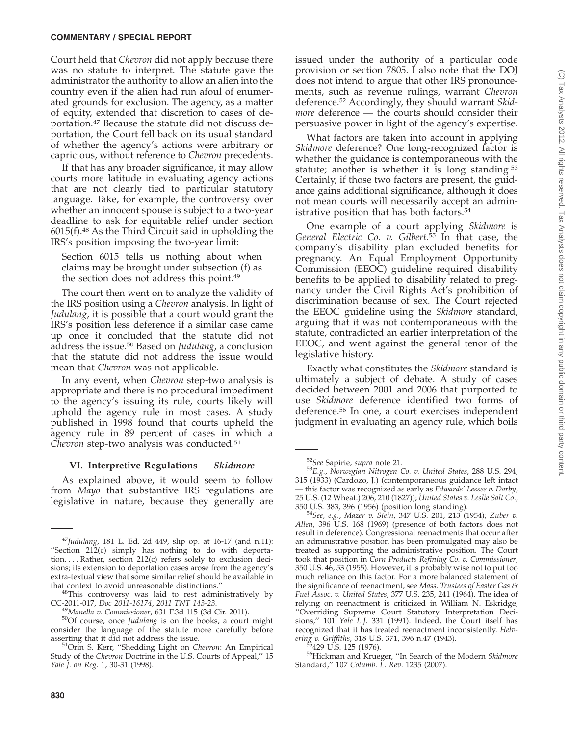### **COMMENTARY / SPECIAL REPORT**

Court held that *Chevron* did not apply because there was no statute to interpret. The statute gave the administrator the authority to allow an alien into the country even if the alien had run afoul of enumerated grounds for exclusion. The agency, as a matter of equity, extended that discretion to cases of deportation.47 Because the statute did not discuss deportation, the Court fell back on its usual standard of whether the agency's actions were arbitrary or capricious, without reference to *Chevron* precedents.

If that has any broader significance, it may allow courts more latitude in evaluating agency actions that are not clearly tied to particular statutory language. Take, for example, the controversy over whether an innocent spouse is subject to a two-year deadline to ask for equitable relief under section 6015(f).48 As the Third Circuit said in upholding the IRS's position imposing the two-year limit:

Section 6015 tells us nothing about when claims may be brought under subsection (f) as the section does not address this point.49

The court then went on to analyze the validity of the IRS position using a *Chevron* analysis. In light of *Judulang*, it is possible that a court would grant the IRS's position less deference if a similar case came up once it concluded that the statute did not address the issue.50 Based on *Judulang*, a conclusion that the statute did not address the issue would mean that *Chevron* was not applicable.

In any event, when *Chevron* step-two analysis is appropriate and there is no procedural impediment to the agency's issuing its rule, courts likely will uphold the agency rule in most cases. A study published in 1998 found that courts upheld the agency rule in 89 percent of cases in which a *Chevron* step-two analysis was conducted.51

### **VI. Interpretive Regulations —** *Skidmore*

As explained above, it would seem to follow from *Mayo* that substantive IRS regulations are legislative in nature, because they generally are

issued under the authority of a particular code provision or section 7805. I also note that the DOJ does not intend to argue that other IRS pronouncements, such as revenue rulings, warrant *Chevron* deference.52 Accordingly, they should warrant *Skidmore* deference — the courts should consider their persuasive power in light of the agency's expertise.

What factors are taken into account in applying *Skidmore* deference? One long-recognized factor is whether the guidance is contemporaneous with the statute; another is whether it is long standing.<sup>53</sup> Certainly, if those two factors are present, the guidance gains additional significance, although it does not mean courts will necessarily accept an administrative position that has both factors.54

One example of a court applying *Skidmore* is *General Electric Co. v. Gilbert*. <sup>55</sup> In that case, the company's disability plan excluded benefits for pregnancy. An Equal Employment Opportunity Commission (EEOC) guideline required disability benefits to be applied to disability related to pregnancy under the Civil Rights Act's prohibition of discrimination because of sex. The Court rejected the EEOC guideline using the *Skidmore* standard, arguing that it was not contemporaneous with the statute, contradicted an earlier interpretation of the EEOC, and went against the general tenor of the legislative history.

Exactly what constitutes the *Skidmore* standard is ultimately a subject of debate. A study of cases decided between 2001 and 2006 that purported to use *Skidmore* deference identified two forms of deference.56 In one, a court exercises independent judgment in evaluating an agency rule, which boils

<sup>47</sup>*Judulang*, 181 L. Ed. 2d 449, slip op. at 16-17 (and n.11): ''Section 212(c) simply has nothing to do with deportation.... Rather, section 212(c) refers solely to exclusion decisions; its extension to deportation cases arose from the agency's extra-textual view that some similar relief should be available in that context to avoid unreasonable distinctions."

<sup>&</sup>lt;sup>48</sup>This controversy was laid to rest administratively by CC-2011-017, *Doc 2011-16174*, *2011 TNT 143-23*. <sup>49</sup>*Manella v. Commissioner*, 631 F.3d 115 (3d Cir. 2011). 50Of course, once *Judulang* is on the books, a court might

consider the language of the statute more carefully before

asserting that it did not address the issue. 51Orin S. Kerr, ''Shedding Light on *Chevron*: An Empirical Study of the *Chevron* Doctrine in the U.S. Courts of Appeal,'' 15 *Yale J. on Reg*. 1, 30-31 (1998).

<sup>52</sup>*See* Sapirie, *supra* note 21. <sup>53</sup>*E.g.*, *Norwegian Nitrogen Co. v. United States*, 288 U.S. 294, 315 (1933) (Cardozo, J.) (contemporaneous guidance left intact — this factor was recognized as early as *Edwards' Lessee v. Darby*, 25 U.S. (12 Wheat.) 206, 210 (1827)); *United States v. Leslie Salt Co*.,

<sup>350</sup> U.S. 383, 396 (1956) (position long standing). <sup>54</sup>*See, e.g.*, *Mazer v. Stein*, 347 U.S. 201, 213 (1954); *Zuber v. Allen*, 396 U.S. 168 (1969) (presence of both factors does not result in deference). Congressional reenactments that occur after an administrative position has been promulgated may also be treated as supporting the administrative position. The Court took that position in *Corn Products Refining Co. v. Commissioner*, 350 U.S. 46, 53 (1955). However, it is probably wise not to put too much reliance on this factor. For a more balanced statement of the significance of reenactment, see *Mass. Trustees of Easter Gas & Fuel Assoc. v. United States*, 377 U.S. 235, 241 (1964). The idea of relying on reenactment is criticized in William N. Eskridge, ''Overriding Supreme Court Statutory Interpretation Decisions,'' 101 *Yale L.J*. 331 (1991). Indeed, the Court itself has recognized that it has treated reenactment inconsistently. *Helvering v. Griffiths*, 318 U.S. 371, 396 n.47 (1943).

*ering v. Griffiths*, 318 U.S. 371, 396 n.47 (1943). 55429 U.S. 125 (1976). 56Hickman and Krueger, ''In Search of the Modern *Skidmore* Standard,'' 107 *Columb. L. Rev*. 1235 (2007).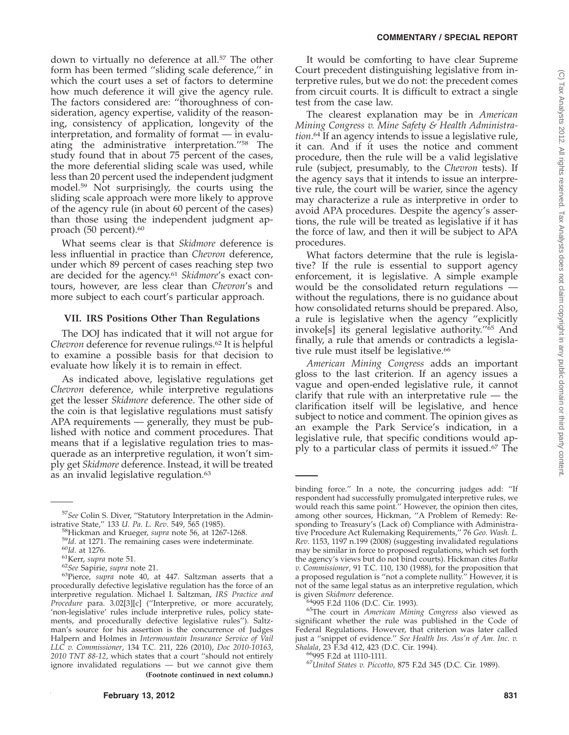#### **COMMENTARY / SPECIAL REPORT**

down to virtually no deference at all.<sup>57</sup> The other form has been termed ''sliding scale deference,'' in which the court uses a set of factors to determine how much deference it will give the agency rule. The factors considered are: ''thoroughness of consideration, agency expertise, validity of the reasoning, consistency of application, longevity of the interpretation, and formality of format — in evaluating the administrative interpretation.''58 The study found that in about 75 percent of the cases, the more deferential sliding scale was used, while less than 20 percent used the independent judgment model.59 Not surprisingly, the courts using the sliding scale approach were more likely to approve of the agency rule (in about 60 percent of the cases) than those using the independent judgment approach (50 percent).<sup>60</sup>

What seems clear is that *Skidmore* deference is less influential in practice than *Chevron* deference, under which 89 percent of cases reaching step two are decided for the agency.61 *Skidmore*'s exact contours, however, are less clear than *Chevron*'s and more subject to each court's particular approach.

#### **VII. IRS Positions Other Than Regulations**

The DOJ has indicated that it will not argue for *Chevron* deference for revenue rulings.<sup>62</sup> It is helpful to examine a possible basis for that decision to evaluate how likely it is to remain in effect.

As indicated above, legislative regulations get *Chevron* deference, while interpretive regulations get the lesser *Skidmore* deference. The other side of the coin is that legislative regulations must satisfy APA requirements — generally, they must be published with notice and comment procedures. That means that if a legislative regulation tries to masquerade as an interpretive regulation, it won't simply get *Skidmore* deference. Instead, it will be treated as an invalid legislative regulation.<sup>63</sup>

It would be comforting to have clear Supreme Court precedent distinguishing legislative from interpretive rules, but we do not: the precedent comes from circuit courts. It is difficult to extract a single test from the case law.

The clearest explanation may be in *American Mining Congress v. Mine Safety & Health Administration*. <sup>64</sup> If an agency intends to issue a legislative rule, it can. And if it uses the notice and comment procedure, then the rule will be a valid legislative rule (subject, presumably, to the *Chevron* tests). If the agency says that it intends to issue an interpretive rule, the court will be warier, since the agency may characterize a rule as interpretive in order to avoid APA procedures. Despite the agency's assertions, the rule will be treated as legislative if it has the force of law, and then it will be subject to APA procedures.

What factors determine that the rule is legislative? If the rule is essential to support agency enforcement, it is legislative. A simple example would be the consolidated return regulations without the regulations, there is no guidance about how consolidated returns should be prepared. Also, a rule is legislative when the agency ''explicitly invoke[s] its general legislative authority.''65 And finally, a rule that amends or contradicts a legislative rule must itself be legislative.<sup>66</sup>

*American Mining Congress* adds an important gloss to the last criterion. If an agency issues a vague and open-ended legislative rule, it cannot clarify that rule with an interpretative rule — the clarification itself will be legislative, and hence subject to notice and comment. The opinion gives as an example the Park Service's indication, in a legislative rule, that specific conditions would apply to a particular class of permits it issued.67 The

<sup>&</sup>lt;sup>57</sup>See Colin S. Diver, "Statutory Interpretation in the Administrative State," 133 *U. Pa. L. Rev.* 549, 565 (1985).

<sup>&</sup>lt;sup>58</sup>Hickman and Krueger, *supra* note 56, at 1267-1268.<br><sup>59</sup>Id. at 1271. The remaining cases were indeterminate.<br><sup>60</sup>Id. at 1276.<br><sup>61</sup>Kerr, *supra* note 51.<br><sup>62</sup>*See* Sapirie, *supra* note 21.<br><sup>63</sup>Pierce, *supra* note 40, procedurally defective legislative regulation has the force of an interpretive regulation. Michael I. Saltzman, *IRS Practice and Procedure* para. 3.02[3][c] (''Interpretive, or more accurately, 'non-legislative' rules include interpretive rules, policy statements, and procedurally defective legislative rules''). Saltzman's source for his assertion is the concurrence of Judges Halpern and Holmes in *Intermountain Insurance Service of Vail LLC v. Commissioner*, 134 T.C. 211, 226 (2010), *Doc 2010-10163*, *2010 TNT 88-12*, which states that a court ''should not entirely ignore invalidated regulations — but we cannot give them **(Footnote continued in next column.)**

binding force.'' In a note, the concurring judges add: ''If respondent had successfully promulgated interpretive rules, we would reach this same point.'' However, the opinion then cites, among other sources, Hickman, ''A Problem of Remedy: Responding to Treasury's (Lack of) Compliance with Administrative Procedure Act Rulemaking Requirements,'' 76 *Geo. Wash. L. Rev*. 1153, 1197 n.199 (2008) (suggesting invalidated regulations may be similar in force to proposed regulations, which set forth the agency's views but do not bind courts). Hickman cites *Butka v. Commissioner*, 91 T.C. 110, 130 (1988), for the proposition that a proposed regulation is ''not a complete nullity.'' However, it is not of the same legal status as an interpretive regulation, which is given *Skidmore* deference.

<sup>&</sup>lt;sup>64</sup>995 F.2d 1106 (D.C. Cir. 1993).<br><sup>65</sup>The court in *American Mining Congress* also viewed as significant whether the rule was published in the Code of Federal Regulations. However, that criterion was later called just a ''snippet of evidence.'' *See Health Ins. Ass'n of Am. Inc. v.*

*Shalala*, 23 F.3d 412, 423 (D.C. Cir. 1994). 66995 F.2d at 1110-1111. <sup>67</sup>*United States v. Piccotto*, 875 F.2d 345 (D.C. Cir. 1989).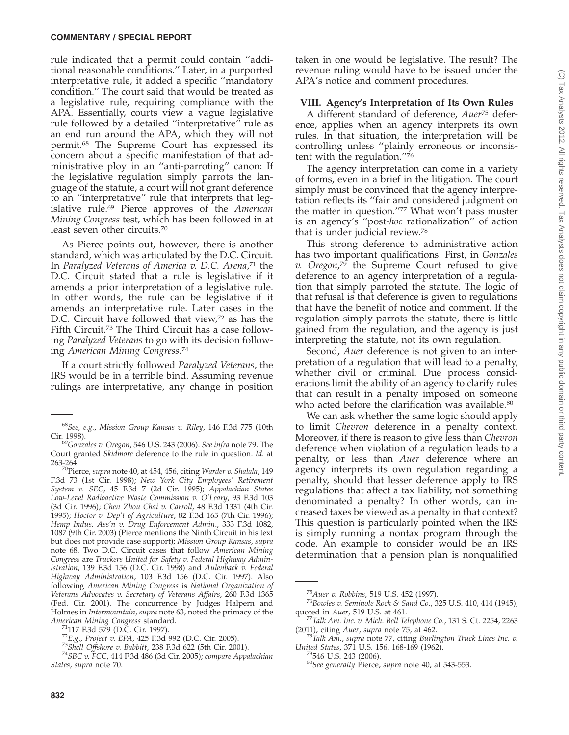rule indicated that a permit could contain ''additional reasonable conditions.'' Later, in a purported interpretative rule, it added a specific ''mandatory condition.'' The court said that would be treated as a legislative rule, requiring compliance with the APA. Essentially, courts view a vague legislative rule followed by a detailed ''interpretative'' rule as an end run around the APA, which they will not permit.68 The Supreme Court has expressed its concern about a specific manifestation of that administrative ploy in an ''anti-parroting'' canon: If the legislative regulation simply parrots the language of the statute, a court will not grant deference to an ''interpretative'' rule that interprets that legislative rule.69 Pierce approves of the *American Mining Congress* test, which has been followed in at least seven other circuits.70

As Pierce points out, however, there is another standard, which was articulated by the D.C. Circuit. In *Paralyzed Veterans of America v. D.C. Arena*, <sup>71</sup> the D.C. Circuit stated that a rule is legislative if it amends a prior interpretation of a legislative rule. In other words, the rule can be legislative if it amends an interpretative rule. Later cases in the D.C. Circuit have followed that view,<sup>72</sup> as has the Fifth Circuit.73 The Third Circuit has a case following *Paralyzed Veterans* to go with its decision following *American Mining Congress*. 74

If a court strictly followed *Paralyzed Veterans*, the IRS would be in a terrible bind. Assuming revenue rulings are interpretative, any change in position

taken in one would be legislative. The result? The revenue ruling would have to be issued under the APA's notice and comment procedures.

#### **VIII. Agency's Interpretation of Its Own Rules**

A different standard of deference, *Auer*<sup>75</sup> deference, applies when an agency interprets its own rules. In that situation, the interpretation will be controlling unless ''plainly erroneous or inconsistent with the regulation.''76

The agency interpretation can come in a variety of forms, even in a brief in the litigation. The court simply must be convinced that the agency interpretation reflects its ''fair and considered judgment on the matter in question.''77 What won't pass muster is an agency's ''post-*hoc* rationalization'' of action that is under judicial review.78

This strong deference to administrative action has two important qualifications. First, in *Gonzales v. Oregon*, <sup>79</sup> the Supreme Court refused to give deference to an agency interpretation of a regulation that simply parroted the statute. The logic of that refusal is that deference is given to regulations that have the benefit of notice and comment. If the regulation simply parrots the statute, there is little gained from the regulation, and the agency is just interpreting the statute, not its own regulation.

Second, *Auer* deference is not given to an interpretation of a regulation that will lead to a penalty, whether civil or criminal. Due process considerations limit the ability of an agency to clarify rules that can result in a penalty imposed on someone who acted before the clarification was available.<sup>80</sup>

We can ask whether the same logic should apply to limit *Chevron* deference in a penalty context. Moreover, if there is reason to give less than *Chevron* deference when violation of a regulation leads to a penalty, or less than *Auer* deference where an agency interprets its own regulation regarding a penalty, should that lesser deference apply to IRS regulations that affect a tax liability, not something denominated a penalty? In other words, can increased taxes be viewed as a penalty in that context? This question is particularly pointed when the IRS is simply running a nontax program through the code. An example to consider would be an IRS determination that a pension plan is nonqualified

<sup>68</sup>*See, e.g.*, *Mission Group Kansas v. Riley*, 146 F.3d 775 (10th

<sup>&</sup>lt;sup>69</sup>Gonzales v. Oregon, 546 U.S. 243 (2006). *See infra* note 79. The Court granted *Skidmore* deference to the rule in question. *Id.* at

<sup>263-264.</sup> 70Pierce, *supra* note 40, at 454, 456, citing *Warder v. Shalala*, 149 F.3d 73 (1st Cir. 1998); *New York City Employees' Retirement System v. SEC*, 45 F.3d 7 (2d Cir. 1995); *Appalachian States Low-Level Radioactive Waste Commission v. O'Leary*, 93 F.3d 103 (3d Cir. 1996); *Chen Zhou Chai v. Carroll*, 48 F.3d 1331 (4th Cir. 1995); *Hoctor v. Dep't of Agriculture*, 82 F.3d 165 (7th Cir. 1996); *Hemp Indus. Ass'n v. Drug Enforcement Admin*., 333 F.3d 1082, 1087 (9th Cir. 2003) (Pierce mentions the Ninth Circuit in his text but does not provide case support); *Mission Group Kansas*, *supra* note 68. Two D.C. Circuit cases that follow *American Mining Congress* are *Truckers United for Safety v. Federal Highway Administration*, 139 F.3d 156 (D.C. Cir. 1998) and *Aulenback v. Federal Highway Administration*, 103 F.3d 156 (D.C. Cir. 1997). Also following *American Mining Congress* is *National Organization of Veterans Advocates v. Secretary of Veterans Affairs*, 260 F.3d 1365 (Fed. Cir. 2001). The concurrence by Judges Halpern and Holmes in *Intermountain*, *supra* note 63, noted the primacy of the *American Mining Congress* standard.

<sup>&</sup>lt;sup>71</sup>117 F.3d 579 (D.C. Cir. 1997).<br><sup>72</sup>E.g., Project v. EPA, 425 F.3d 992 (D.C. Cir. 2005).<br><sup>73</sup>Shell Offshore v. Babbitt, 238 F.3d 622 (5th Cir. 2001).<br><sup>74</sup>SBC v. FCC, 414 F.3d 486 (3d Cir. 2005); compare Appalachian *States*, *supra* note 70.

<sup>75</sup>*Auer v. Robbins*, 519 U.S. 452 (1997). <sup>76</sup>*Bowles v. Seminole Rock & Sand Co.*, 325 U.S. 410, 414 (1945),

quoted in *Auer*, 519 U.S. at 461.<br><sup>77</sup>Talk Am. Inc. v. Mich. Bell Telephone Co., 131 S. Ct. 2254, 2263<br>(2011), citing *Auer*, supra note 75, at 462.

<sup>&</sup>lt;sup>78</sup>Talk Am., *supra* note 77, citing *Burlington Truck Lines Inc. v. United States*, 371 U.S. 156, 168-169 (1962).

*United States*, 371 U.S. 156, 168-169 (1962). 79546 U.S. 243 (2006). <sup>80</sup>*See generally* Pierce, *supra* note 40, at 543-553.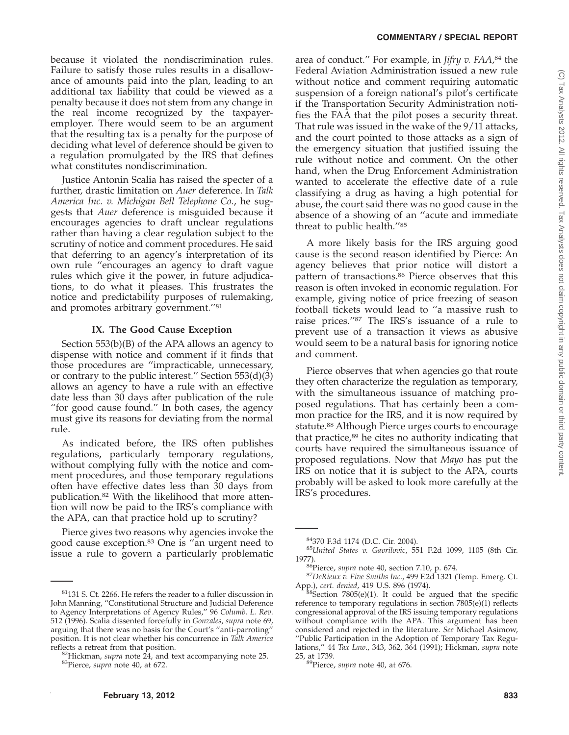#### **COMMENTARY / SPECIAL REPORT**

because it violated the nondiscrimination rules. Failure to satisfy those rules results in a disallowance of amounts paid into the plan, leading to an additional tax liability that could be viewed as a penalty because it does not stem from any change in the real income recognized by the taxpayeremployer. There would seem to be an argument that the resulting tax is a penalty for the purpose of deciding what level of deference should be given to a regulation promulgated by the IRS that defines what constitutes nondiscrimination.

Justice Antonin Scalia has raised the specter of a further, drastic limitation on *Auer* deference. In *Talk America Inc. v. Michigan Bell Telephone Co.*, he suggests that *Auer* deference is misguided because it encourages agencies to draft unclear regulations rather than having a clear regulation subject to the scrutiny of notice and comment procedures. He said that deferring to an agency's interpretation of its own rule ''encourages an agency to draft vague rules which give it the power, in future adjudications, to do what it pleases. This frustrates the notice and predictability purposes of rulemaking, and promotes arbitrary government.''81

#### **IX. The Good Cause Exception**

Section 553(b)(B) of the APA allows an agency to dispense with notice and comment if it finds that those procedures are ''impracticable, unnecessary, or contrary to the public interest." Section  $553(d)(3)$ allows an agency to have a rule with an effective date less than 30 days after publication of the rule "for good cause found." In both cases, the agency must give its reasons for deviating from the normal rule.

As indicated before, the IRS often publishes regulations, particularly temporary regulations, without complying fully with the notice and comment procedures, and those temporary regulations often have effective dates less than 30 days from publication.82 With the likelihood that more attention will now be paid to the IRS's compliance with the APA, can that practice hold up to scrutiny?

Pierce gives two reasons why agencies invoke the good cause exception.<sup>83</sup> One is "an urgent need to issue a rule to govern a particularly problematic

area of conduct.'' For example, in *Jifry v. FAA*, <sup>84</sup> the Federal Aviation Administration issued a new rule without notice and comment requiring automatic suspension of a foreign national's pilot's certificate if the Transportation Security Administration notifies the FAA that the pilot poses a security threat. That rule was issued in the wake of the 9/11 attacks, and the court pointed to those attacks as a sign of the emergency situation that justified issuing the rule without notice and comment. On the other hand, when the Drug Enforcement Administration wanted to accelerate the effective date of a rule classifying a drug as having a high potential for abuse, the court said there was no good cause in the absence of a showing of an ''acute and immediate threat to public health.''85

A more likely basis for the IRS arguing good cause is the second reason identified by Pierce: An agency believes that prior notice will distort a pattern of transactions.86 Pierce observes that this reason is often invoked in economic regulation. For example, giving notice of price freezing of season football tickets would lead to ''a massive rush to raise prices.''87 The IRS's issuance of a rule to prevent use of a transaction it views as abusive would seem to be a natural basis for ignoring notice and comment.

Pierce observes that when agencies go that route they often characterize the regulation as temporary, with the simultaneous issuance of matching proposed regulations. That has certainly been a common practice for the IRS, and it is now required by statute.88 Although Pierce urges courts to encourage that practice, $89$  he cites no authority indicating that courts have required the simultaneous issuance of proposed regulations. Now that *Mayo* has put the IRS on notice that it is subject to the APA, courts probably will be asked to look more carefully at the IRS's procedures.

 $81$ 131 S. Ct. 2266. He refers the reader to a fuller discussion in John Manning, ''Constitutional Structure and Judicial Deference to Agency Interpretations of Agency Rules,'' 96 *Columb. L. Rev*. 512 (1996). Scalia dissented forcefully in *Gonzales*, *supra* note 69, arguing that there was no basis for the Court's ''anti-parroting'' position. It is not clear whether his concurrence in *Talk America*

<sup>&</sup>lt;sup>82</sup>Hickman, *supra* note 24, and text accompanying note 25. <sup>83</sup>Pierce, *supra* note 40, at 672.

<sup>84370</sup> F.3d 1174 (D.C. Cir. 2004). <sup>85</sup>*United States v. Gavrilovic*, 551 F.2d 1099, 1105 (8th Cir.

<sup>1977).&</sup>lt;br><sup>86</sup>Pierce, *supra* note 40, section 7.10, p. 674.<br><sup>87</sup>DeRieux v. Five Smiths Inc., 499 F.2d 1321 (Temp. Emerg. Ct.<br>App.), cert. denied, 419 U.S. 896 (1974).

 ${}^3$ Section 7805(e)(1). It could be argued that the specific reference to temporary regulations in section 7805(e)(1) reflects congressional approval of the IRS issuing temporary regulations without compliance with the APA. This argument has been considered and rejected in the literature. *See* Michael Asimow, ''Public Participation in the Adoption of Temporary Tax Regulations,'' 44 *Tax Law*., 343, 362, 364 (1991); Hickman, *supra* note 25, at 1739. 89Pierce, *supra* note 40, at 676.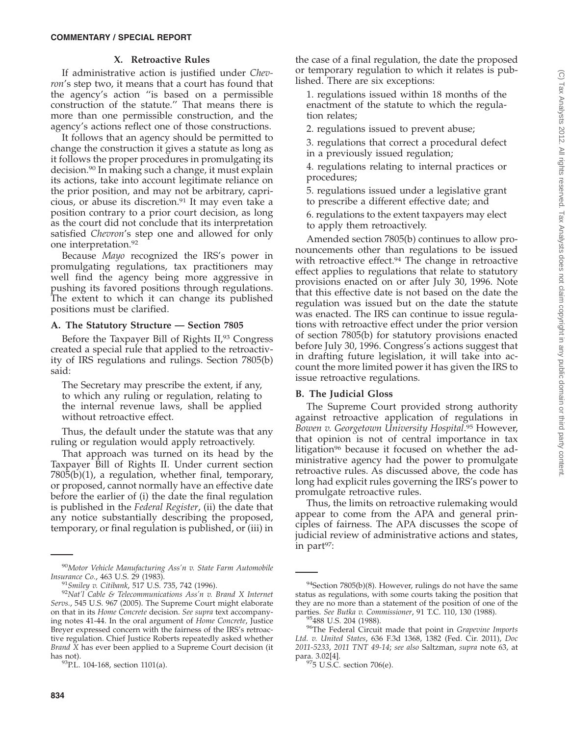# **X. Retroactive Rules**

If administrative action is justified under *Chevron*'s step two, it means that a court has found that the agency's action ''is based on a permissible construction of the statute.'' That means there is more than one permissible construction, and the agency's actions reflect one of those constructions.

It follows that an agency should be permitted to change the construction it gives a statute as long as it follows the proper procedures in promulgating its decision.90 In making such a change, it must explain its actions, take into account legitimate reliance on the prior position, and may not be arbitrary, capricious, or abuse its discretion.91 It may even take a position contrary to a prior court decision, as long as the court did not conclude that its interpretation satisfied *Chevron*'s step one and allowed for only one interpretation.92

Because *Mayo* recognized the IRS's power in promulgating regulations, tax practitioners may well find the agency being more aggressive in pushing its favored positions through regulations. The extent to which it can change its published positions must be clarified.

## **A. The Statutory Structure — Section 7805**

Before the Taxpayer Bill of Rights II,<sup>93</sup> Congress created a special rule that applied to the retroactivity of IRS regulations and rulings. Section 7805(b) said:

The Secretary may prescribe the extent, if any, to which any ruling or regulation, relating to the internal revenue laws, shall be applied without retroactive effect.

Thus, the default under the statute was that any ruling or regulation would apply retroactively.

That approach was turned on its head by the Taxpayer Bill of Rights II. Under current section 7805(b)(1), a regulation, whether final, temporary, or proposed, cannot normally have an effective date before the earlier of (i) the date the final regulation is published in the *Federal Register*, (ii) the date that any notice substantially describing the proposed, temporary, or final regulation is published, or (iii) in 1. regulations issued within 18 months of the enactment of the statute to which the regulation relates;

2. regulations issued to prevent abuse;

3. regulations that correct a procedural defect in a previously issued regulation;

4. regulations relating to internal practices or procedures;

5. regulations issued under a legislative grant to prescribe a different effective date; and

6. regulations to the extent taxpayers may elect to apply them retroactively.

Amended section 7805(b) continues to allow pronouncements other than regulations to be issued with retroactive effect.<sup>94</sup> The change in retroactive effect applies to regulations that relate to statutory provisions enacted on or after July 30, 1996. Note that this effective date is not based on the date the regulation was issued but on the date the statute was enacted. The IRS can continue to issue regulations with retroactive effect under the prior version of section 7805(b) for statutory provisions enacted before July 30, 1996. Congress's actions suggest that in drafting future legislation, it will take into account the more limited power it has given the IRS to issue retroactive regulations.

# **B. The Judicial Gloss**

The Supreme Court provided strong authority against retroactive application of regulations in *Bowen v. Georgetown University Hospital*. <sup>95</sup> However, that opinion is not of central importance in tax litigation<sup>96</sup> because it focused on whether the administrative agency had the power to promulgate retroactive rules. As discussed above, the code has long had explicit rules governing the IRS's power to promulgate retroactive rules.

Thus, the limits on retroactive rulemaking would appear to come from the APA and general principles of fairness. The APA discusses the scope of judicial review of administrative actions and states, in part $97$ :

<sup>90</sup>*Motor Vehicle Manufacturing Ass'n v. State Farm Automobile*

*Insurance Co.*, 463 U.S. 29 (1983). <sup>91</sup>*Smiley v. Citibank*, 517 U.S. 735, 742 (1996). <sup>92</sup>*Nat'l Cable & Telecommunications Ass'n v. Brand X Internet Servs.*, 545 U.S. 967 (2005). The Supreme Court might elaborate on that in its *Home Concrete* decision. *See supra* text accompanying notes 41-44. In the oral argument of *Home Concrete*, Justice Breyer expressed concern with the fairness of the IRS's retroactive regulation. Chief Justice Roberts repeatedly asked whether *Brand X* has ever been applied to a Supreme Court decision (it

has not).  $^{93}$ P.L. 104-168, section 1101(a).

 $94$ Section 7805(b)(8). However, rulings do not have the same status as regulations, with some courts taking the position that they are no more than a statement of the position of one of the parties. See Butka v. Commissioner, 91 T.C. 110, 130 (1988).

<sup>&</sup>lt;sup>95</sup>488 U.S. 204 (1988).<br><sup>96</sup>The Federal Circuit made that point in *Grapevine Imports Ltd. v. United States*, 636 F.3d 1368, 1382 (Fed. Cir. 2011), *Doc 2011-5233*, *2011 TNT 49-14*; *see also* Saltzman, *supra* note 63, at para. 3.02[4].<br><sup>97</sup>5 U.S.C. section 706(e).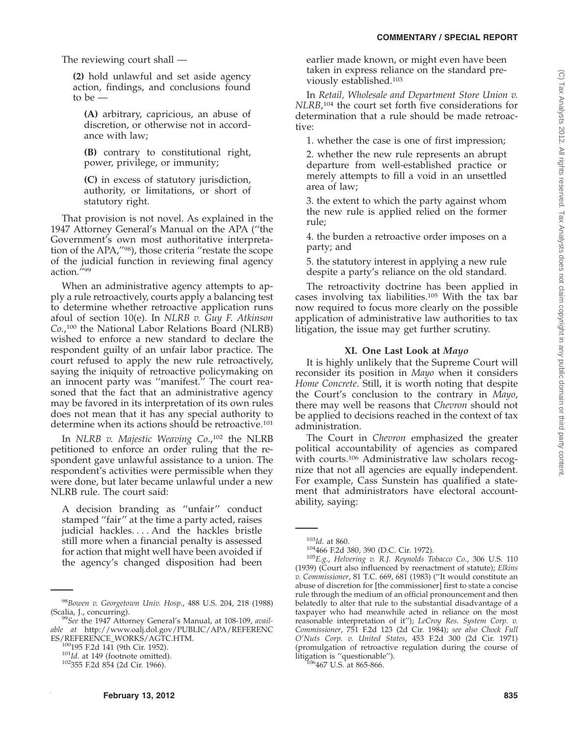The reviewing court shall —

**(2)** hold unlawful and set aside agency action, findings, and conclusions found to be —

**(A)** arbitrary, capricious, an abuse of discretion, or otherwise not in accordance with law;

**(B)** contrary to constitutional right, power, privilege, or immunity;

**(C)** in excess of statutory jurisdiction, authority, or limitations, or short of statutory right.

That provision is not novel. As explained in the 1947 Attorney General's Manual on the APA (''the Government's own most authoritative interpretation of the APA,''98), those criteria ''restate the scope of the judicial function in reviewing final agency action.''99

When an administrative agency attempts to apply a rule retroactively, courts apply a balancing test to determine whether retroactive application runs afoul of section 10(e). In *NLRB v. Guy F. Atkinson Co.*, <sup>100</sup> the National Labor Relations Board (NLRB) wished to enforce a new standard to declare the respondent guilty of an unfair labor practice. The court refused to apply the new rule retroactively, saying the iniquity of retroactive policymaking on an innocent party was ''manifest.'' The court reasoned that the fact that an administrative agency may be favored in its interpretation of its own rules does not mean that it has any special authority to determine when its actions should be retroactive.<sup>101</sup>

In *NLRB v. Majestic Weaving Co.*, <sup>102</sup> the NLRB petitioned to enforce an order ruling that the respondent gave unlawful assistance to a union. The respondent's activities were permissible when they were done, but later became unlawful under a new NLRB rule. The court said:

A decision branding as ''unfair'' conduct stamped ''fair'' at the time a party acted, raises judicial hackles. . . . And the hackles bristle still more when a financial penalty is assessed for action that might well have been avoided if the agency's changed disposition had been

earlier made known, or might even have been taken in express reliance on the standard previously established.103

In *Retail, Wholesale and Department Store Union v. NLRB*, <sup>104</sup> the court set forth five considerations for determination that a rule should be made retroactive:

1. whether the case is one of first impression;

2. whether the new rule represents an abrupt departure from well-established practice or merely attempts to fill a void in an unsettled area of law;

3. the extent to which the party against whom the new rule is applied relied on the former rule;

4. the burden a retroactive order imposes on a party; and

5. the statutory interest in applying a new rule despite a party's reliance on the old standard.

The retroactivity doctrine has been applied in cases involving tax liabilities.105 With the tax bar now required to focus more clearly on the possible application of administrative law authorities to tax litigation, the issue may get further scrutiny.

#### **XI. One Last Look at** *Mayo*

It is highly unlikely that the Supreme Court will reconsider its position in *Mayo* when it considers *Home Concrete*. Still, it is worth noting that despite the Court's conclusion to the contrary in *Mayo*, there may well be reasons that *Chevron* should not be applied to decisions reached in the context of tax administration.

The Court in *Chevron* emphasized the greater political accountability of agencies as compared with courts.<sup>106</sup> Administrative law scholars recognize that not all agencies are equally independent. For example, Cass Sunstein has qualified a statement that administrators have electoral accountability, saying:

<sup>98</sup>*Bowen v. Georgetown Univ. Hosp.*, 488 U.S. 204, 218 (1988)

<sup>&</sup>lt;sup>99</sup>See the 1947 Attorney General's Manual, at 108-109, *available at* http://www.oalj.dol.gov/PUBLIC/APA/REFERENC

<sup>&</sup>lt;sup>100</sup>195 F.2d 141 (9th Cir. 1952). <sup>101</sup>*Id*. at 149 (footnote omitted). <sup>102</sup>355 F.2d 854 (2d Cir. 1966).

<sup>103</sup>*Id*. at 860. 104466 F.2d 380, 390 (D.C. Cir. 1972). <sup>105</sup>*E.g*., *Helvering v. R.J. Reynolds Tobacco Co.*, 306 U.S. 110 (1939) (Court also influenced by reenactment of statute); *Elkins v. Commissioner*, 81 T.C. 669, 681 (1983) (''It would constitute an abuse of discretion for [the commissioner] first to state a concise rule through the medium of an official pronouncement and then belatedly to alter that rule to the substantial disadvantage of a taxpayer who had meanwhile acted in reliance on the most reasonable interpretation of it''); *LeCroy Res. System Corp. v. Commissioner*, 751 F.2d 123 (2d Cir. 1984); *see also Chock Full O'Nuts Corp. v. United States*, 453 F.2d 300 (2d Cir. 1971) (promulgation of retroactive regulation during the course of litigation is "questionable").<br> $\frac{106}{467}$  U.S. at 865-866.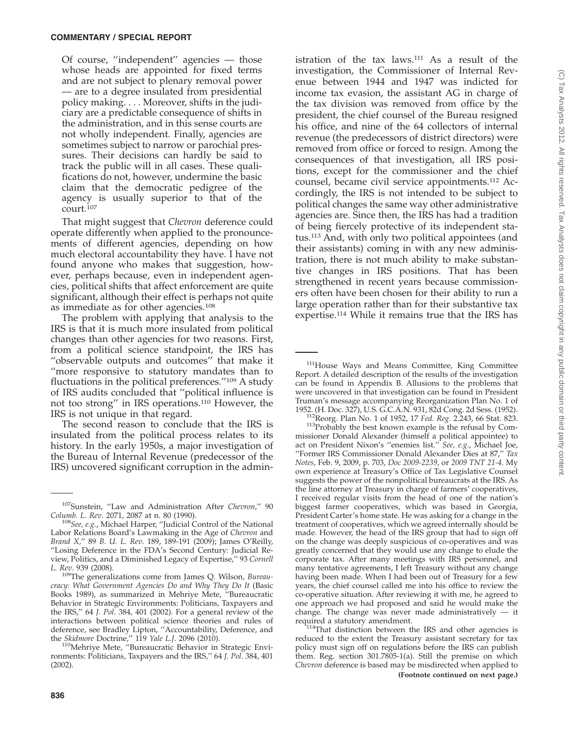Of course, ''independent'' agencies — those whose heads are appointed for fixed terms and are not subject to plenary removal power — are to a degree insulated from presidential policy making. . . . Moreover, shifts in the judiciary are a predictable consequence of shifts in the administration, and in this sense courts are not wholly independent. Finally, agencies are sometimes subject to narrow or parochial pressures. Their decisions can hardly be said to track the public will in all cases. These qualifications do not, however, undermine the basic claim that the democratic pedigree of the agency is usually superior to that of the court.107

That might suggest that *Chevron* deference could operate differently when applied to the pronouncements of different agencies, depending on how much electoral accountability they have. I have not found anyone who makes that suggestion, however, perhaps because, even in independent agencies, political shifts that affect enforcement are quite significant, although their effect is perhaps not quite as immediate as for other agencies.108

The problem with applying that analysis to the IRS is that it is much more insulated from political changes than other agencies for two reasons. First, from a political science standpoint, the IRS has ''observable outputs and outcomes'' that make it ''more responsive to statutory mandates than to fluctuations in the political preferences.''109 A study of IRS audits concluded that ''political influence is not too strong'' in IRS operations.110 However, the IRS is not unique in that regard.

The second reason to conclude that the IRS is insulated from the political process relates to its history. In the early 1950s, a major investigation of the Bureau of Internal Revenue (predecessor of the IRS) uncovered significant corruption in the administration of the tax laws.111 As a result of the investigation, the Commissioner of Internal Revenue between 1944 and 1947 was indicted for income tax evasion, the assistant AG in charge of the tax division was removed from office by the president, the chief counsel of the Bureau resigned his office, and nine of the 64 collectors of internal revenue (the predecessors of district directors) were removed from office or forced to resign. Among the consequences of that investigation, all IRS positions, except for the commissioner and the chief counsel, became civil service appointments.112 Accordingly, the IRS is not intended to be subject to political changes the same way other administrative agencies are. Since then, the IRS has had a tradition of being fiercely protective of its independent status.113 And, with only two political appointees (and their assistants) coming in with any new administration, there is not much ability to make substantive changes in IRS positions. That has been strengthened in recent years because commissioners often have been chosen for their ability to run a large operation rather than for their substantive tax expertise.114 While it remains true that the IRS has

<sup>111</sup>House Ways and Means Committee, King Committee Report. A detailed description of the results of the investigation can be found in Appendix B. Allusions to the problems that were uncovered in that investigation can be found in President Truman's message accompanying Reorganization Plan No. 1 of

<sup>112</sup>Reorg. Plan No. 1 of 1952, 17 *Fed. Reg.* 2.243, 66 Stat. 823. <sup>113</sup>Probably the best known example is the refusal by Commissioner Donald Alexander (himself a political appointee) to act on President Nixon's ''enemies list.'' *See, e.g.*, Michael Joe, ''Former IRS Commissioner Donald Alexander Dies at 87,'' *Tax Notes*, Feb. 9, 2009, p. 703, *Doc 2009-2239*, or *2009 TNT 21-4*. My own experience at Treasury's Office of Tax Legislative Counsel suggests the power of the nonpolitical bureaucrats at the IRS. As the line attorney at Treasury in charge of farmers' cooperatives, I received regular visits from the head of one of the nation's biggest farmer cooperatives, which was based in Georgia, President Carter's home state. He was asking for a change in the treatment of cooperatives, which we agreed internally should be made. However, the head of the IRS group that had to sign off on the change was deeply suspicious of co-operatives and was greatly concerned that they would use any change to elude the corporate tax. After many meetings with IRS personnel, and many tentative agreements, I left Treasury without any change having been made. When I had been out of Treasury for a few years, the chief counsel called me into his office to review the co-operative situation. After reviewing it with me, he agreed to one approach we had proposed and said he would make the change. The change was never made administratively  $-$  it required a statutory amendment.

 $114$ That distinction between the IRS and other agencies is reduced to the extent the Treasury assistant secretary for tax policy must sign off on regulations before the IRS can publish them. Reg. section 301.7805-1(a). Still the premise on which *Chevron* deference is based may be misdirected when applied to **(Footnote continued on next page.)**

<sup>107</sup>Sunstein, ''Law and Administration After *Chevron*,'' 90

*Columb. L. Rev.* 2071, 2087 at n. 80 (1990).<br><sup>108</sup>*See, e.g.*, Michael Harper, ''Judicial Control of the National Labor Relations Board's Lawmaking in the Age of *Chevron* and *Brand X*,'' 89 *B. U. L. Rev*. 189, 189-191 (2009); James O'Reilly, ''Losing Deference in the FDA's Second Century: Judicial Review, Politics, and a Diminished Legacy of Expertise,'' 93 *Cornell*

<sup>&</sup>lt;sup>109</sup>The generalizations come from James Q. Wilson, *Bureaucracy: What Government Agencies Do and Why They Do It* (Basic Books 1989), as summarized in Mehriye Mete, ''Bureaucratic Behavior in Strategic Environments: Politicians, Taxpayers and the IRS,'' 64 *J. Pol*. 384, 401 (2002). For a general review of the interactions between political science theories and rules of deference, see Bradley Lipton, "Accountability, Deference, and the Skidmore Doctrine," 119 Yale L.J. 2096 (2010).

the *Skidmore* Doctrine," 119 *Yale L.J.* 2096 (2010).<br><sup>110</sup>Mehriye Mete, "Bureaucratic Behavior in Strategic Environments: Politicians, Taxpayers and the IRS,'' 64 *J. Pol*. 384, 401 (2002).